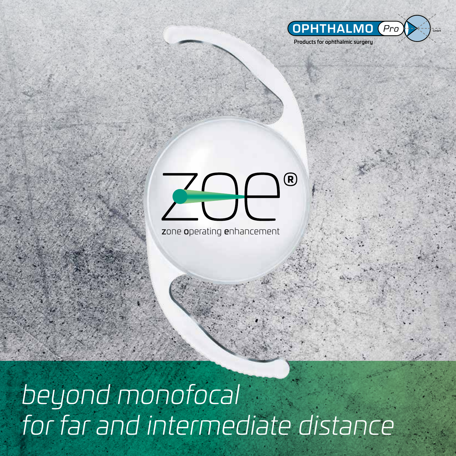

1

Products for ophthalmic surgery

#### ZAP  $\bigcirc$

zone operating enhancement

## *beyond monofocal for far and intermediate distance*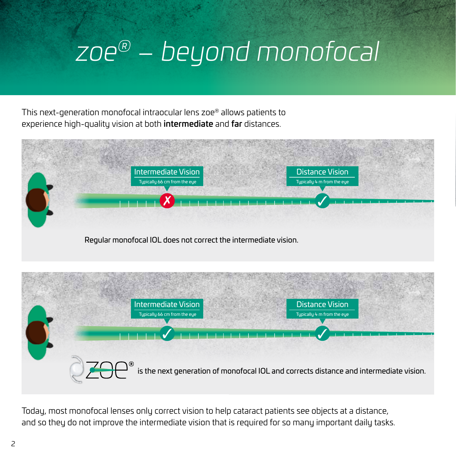## *zoe® – beyond monofocal*

This next-generation monofocal intraocular lens zoe® allows patients to experience high-quality vision at both **intermediate** and **far** distances.





Today, most monofocal lenses only correct vision to help cataract patients see objects at a distance, and so they do not improve the intermediate vision that is required for so many important daily tasks.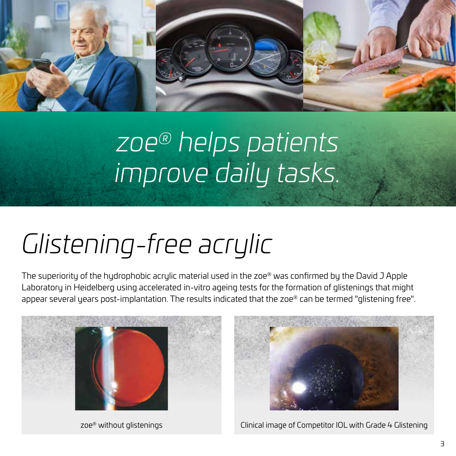

## *zoe® helps patients improve daily tasks.*

# *Glistening-free acrylic*

The superiority of the hydrophobic acrylic material used in the zoe® was confirmed by the David J Apple Laboratory in Heidelberg using accelerated in-vitro ageing tests for the formation of glistenings that might appear several years post-implantation. The results indicated that the zoe® can be termed "glistening free".





zoe® without glistenings and Clinical image of Competitor IOL with Grade 4 Glistening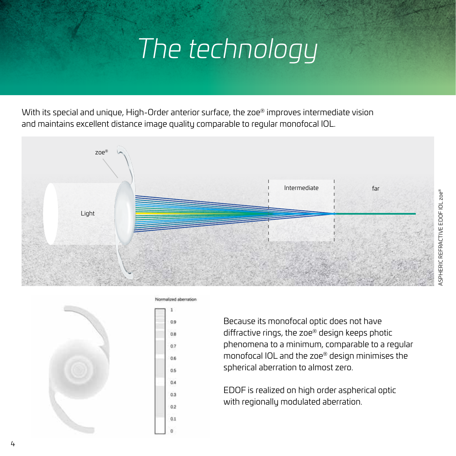## *The technology*

With its special and unique, High-Order anterior surface, the zoe® improves intermediate vision and maintains excellent distance image quality comparable to regular monofocal IOL.





Normalized aberration

Because its monofocal optic does not have diffractive rings, the zoe® design keeps photic phenomena to a minimum, comparable to a regular monofocal IOL and the zoe® design minimises the spherical aberration to almost zero.

EDOF is realized on high order aspherical optic with regionally modulated aberration.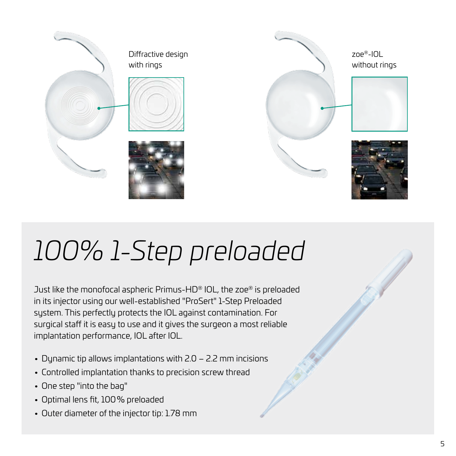

# *100% 1-Step preloaded*

Just like the monofocal aspheric Primus-HD® IOL, the zoe® is preloaded in its injector using our well-established "ProSert" 1-Step Preloaded system. This perfectly protects the IOL against contamination. For surgical staff it is easy to use and it gives the surgeon a most reliable implantation performance, IOL after IOL.

- Dynamic tip allows implantations with 2.0 2.2 mm incisions
- Controlled implantation thanks to precision screw thread
- One step "into the bag"
- Optimal lens fit, 100% preloaded
- Outer diameter of the injector tip: 1.78 mm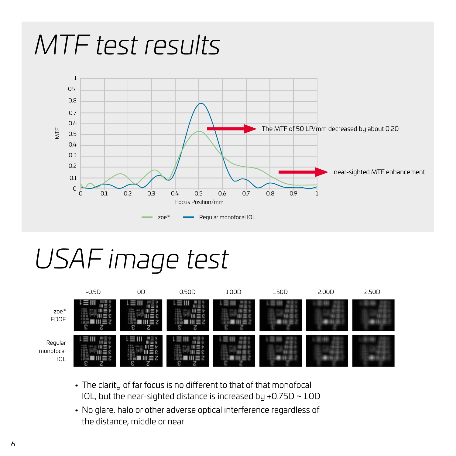

#### *USAF image test*



- The clarity of far focus is no different to that of that monofocal IOL, but the near-sighted distance is increased by +0.75D ~ 1.0D
- No glare, halo or other adverse optical interference regardless of the distance, middle or near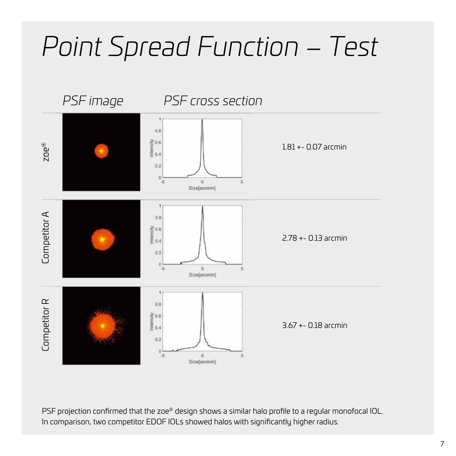## *Point Spread Function – Test*



PSF projection confirmed that the zoe® design shows a similar halo profile to a regular monofocal IOL. In comparison, two competitor EDOF IOLs showed halos with significantly higher radius.